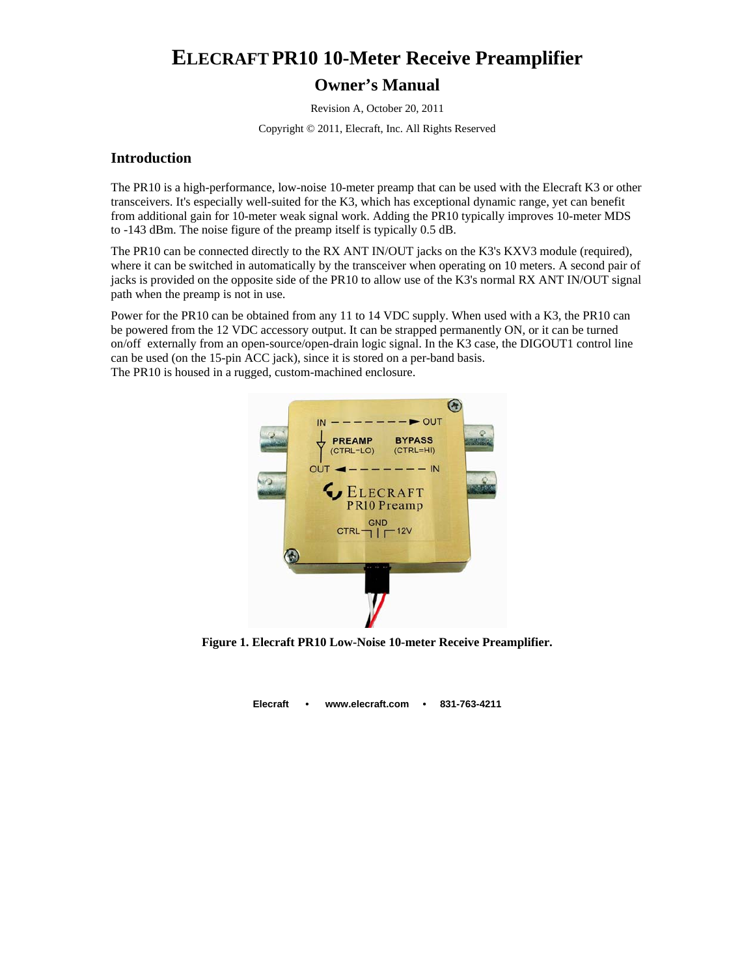# **ELECRAFT PR10 10-Meter Receive Preamplifier**

### **Owner's Manual**

Revision A, October 20, 2011

Copyright © 2011, Elecraft, Inc. All Rights Reserved

### **Introduction**

The PR10 is a high-performance, low-noise 10-meter preamp that can be used with the Elecraft K3 or other transceivers. It's especially well-suited for the K3, which has exceptional dynamic range, yet can benefit from additional gain for 10-meter weak signal work. Adding the PR10 typically improves 10-meter MDS to -143 dBm. The noise figure of the preamp itself is typically 0.5 dB.

The PR10 can be connected directly to the RX ANT IN/OUT jacks on the K3's KXV3 module (required), where it can be switched in automatically by the transceiver when operating on 10 meters. A second pair of jacks is provided on the opposite side of the PR10 to allow use of the K3's normal RX ANT IN/OUT signal path when the preamp is not in use.

Power for the PR10 can be obtained from any 11 to 14 VDC supply. When used with a K3, the PR10 can be powered from the 12 VDC accessory output. It can be strapped permanently ON, or it can be turned on/off externally from an open-source/open-drain logic signal. In the K3 case, the DIGOUT1 control line can be used (on the 15-pin ACC jack), since it is stored on a per-band basis. The PR10 is housed in a rugged, custom-machined enclosure.



**Figure 1. Elecraft PR10 Low-Noise 10-meter Receive Preamplifier.** 

**Elecraft • www.elecraft.com • 831-763-4211**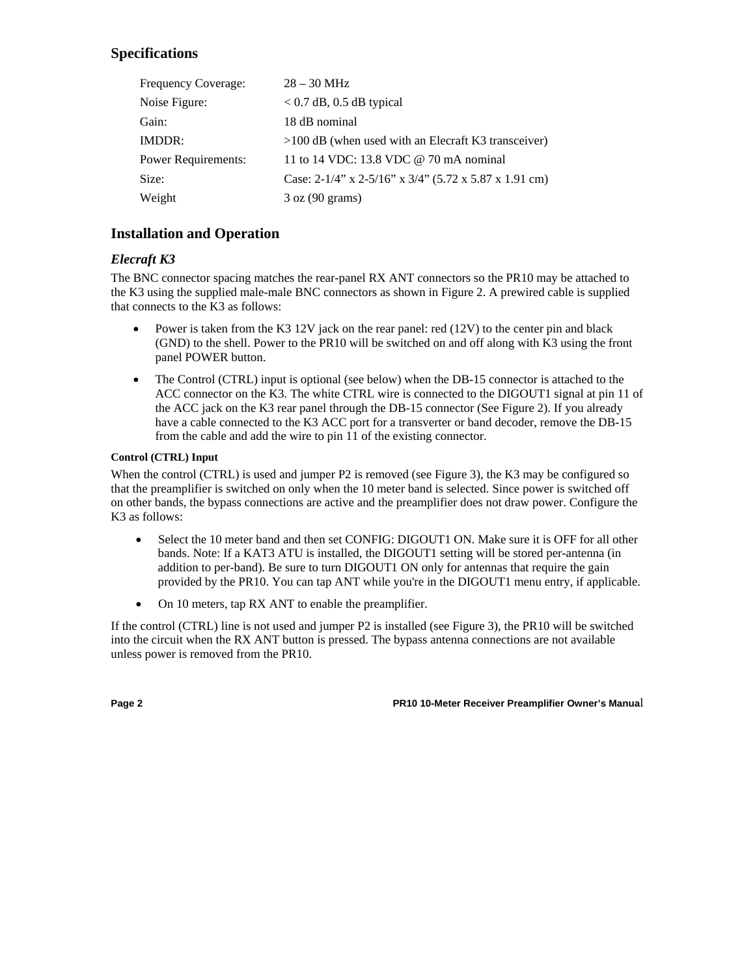# **Specifications**

| Frequency Coverage:        | $28 - 30$ MHz                                                  |
|----------------------------|----------------------------------------------------------------|
| Noise Figure:              | $< 0.7$ dB, 0.5 dB typical                                     |
| Gain:                      | 18 dB nominal                                                  |
| IMDDR:                     | $>100$ dB (when used with an Elecraft K3 transceiver)          |
| <b>Power Requirements:</b> | 11 to 14 VDC: 13.8 VDC @ 70 mA nominal                         |
| Size:                      | Case: $2-1/4$ " x $2-5/16$ " x $3/4$ " (5.72 x 5.87 x 1.91 cm) |
| Weight                     | $3 \text{ oz } (90 \text{ grams})$                             |

## **Installation and Operation**

## *Elecraft K3*

The BNC connector spacing matches the rear-panel RX ANT connectors so the PR10 may be attached to the K3 using the supplied male-male BNC connectors as shown in Figure 2. A prewired cable is supplied that connects to the K3 as follows:

- Power is taken from the K3 12V jack on the rear panel: red (12V) to the center pin and black (GND) to the shell. Power to the PR10 will be switched on and off along with K3 using the front panel POWER button.
- The Control (CTRL) input is optional (see below) when the DB-15 connector is attached to the ACC connector on the K3. The white CTRL wire is connected to the DIGOUT1 signal at pin 11 of the ACC jack on the K3 rear panel through the DB-15 connector (See Figure 2). If you already have a cable connected to the K3 ACC port for a transverter or band decoder, remove the DB-15 from the cable and add the wire to pin 11 of the existing connector.

### **Control (CTRL) Input**

When the control (CTRL) is used and jumper P2 is removed (see Figure 3), the K3 may be configured so that the preamplifier is switched on only when the 10 meter band is selected. Since power is switched off on other bands, the bypass connections are active and the preamplifier does not draw power. Configure the K3 as follows:

- Select the 10 meter band and then set CONFIG: DIGOUT1 ON. Make sure it is OFF for all other bands. Note: If a KAT3 ATU is installed, the DIGOUT1 setting will be stored per-antenna (in addition to per-band). Be sure to turn DIGOUT1 ON only for antennas that require the gain provided by the PR10. You can tap ANT while you're in the DIGOUT1 menu entry, if applicable.
- On 10 meters, tap RX ANT to enable the preamplifier.

If the control (CTRL) line is not used and jumper P2 is installed (see Figure 3), the PR10 will be switched into the circuit when the RX ANT button is pressed. The bypass antenna connections are not available unless power is removed from the PR10.

**Page 2 PR10 10-Meter Receiver Preamplifier Owner's Manua**l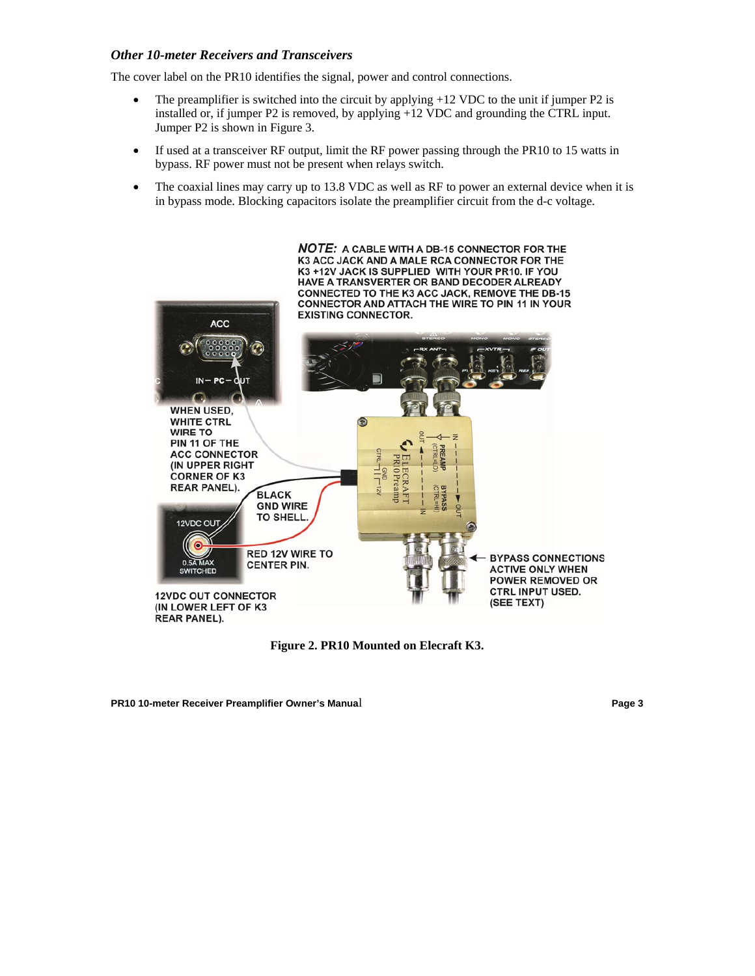#### *Other 10-meter Receivers and Transceivers*

The cover label on the PR10 identifies the signal, power and control connections.

- The preamplifier is switched into the circuit by applying  $+12$  VDC to the unit if jumper P2 is installed or, if jumper P2 is removed, by applying +12 VDC and grounding the CTRL input. Jumper P2 is shown in Figure 3.
- If used at a transceiver RF output, limit the RF power passing through the PR10 to 15 watts in bypass. RF power must not be present when relays switch.
- The coaxial lines may carry up to 13.8 VDC as well as RF to power an external device when it is in bypass mode. Blocking capacitors isolate the preamplifier circuit from the d-c voltage.



**Figure 2. PR10 Mounted on Elecraft K3.** 

**PR10 10-meter Receiver Preamplifier Owner's Manua**l **Page 3**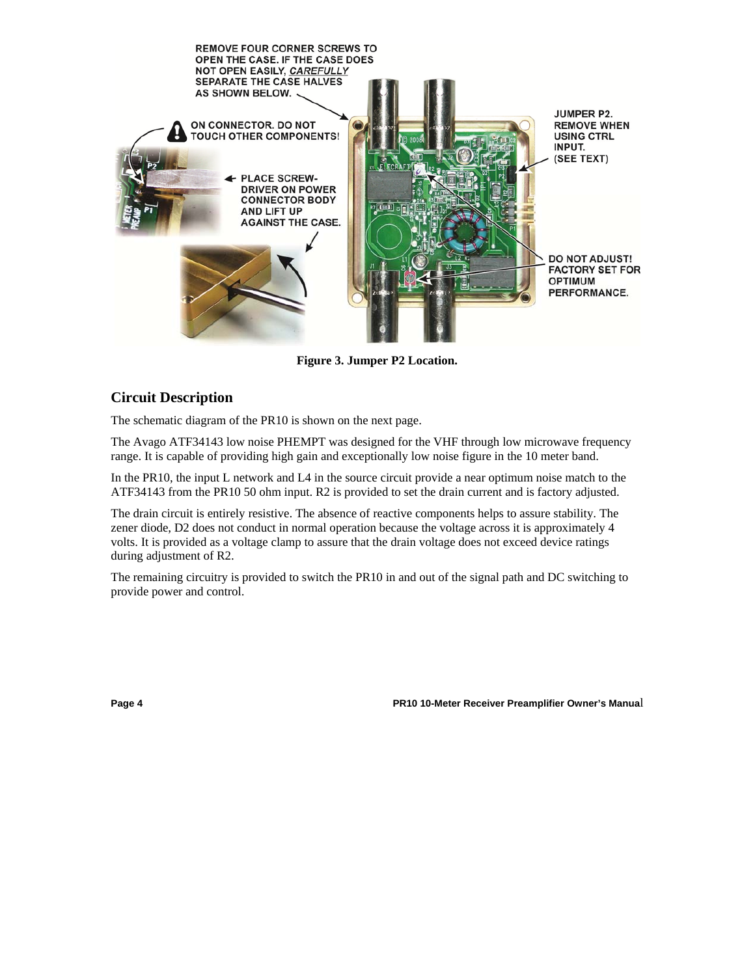

**Figure 3. Jumper P2 Location.** 

## **Circuit Description**

The schematic diagram of the PR10 is shown on the next page.

The Avago ATF34143 low noise PHEMPT was designed for the VHF through low microwave frequency range. It is capable of providing high gain and exceptionally low noise figure in the 10 meter band.

In the PR10, the input L network and L4 in the source circuit provide a near optimum noise match to the ATF34143 from the PR10 50 ohm input. R2 is provided to set the drain current and is factory adjusted.

The drain circuit is entirely resistive. The absence of reactive components helps to assure stability. The zener diode, D2 does not conduct in normal operation because the voltage across it is approximately 4 volts. It is provided as a voltage clamp to assure that the drain voltage does not exceed device ratings during adjustment of R2.

The remaining circuitry is provided to switch the PR10 in and out of the signal path and DC switching to provide power and control.

**Page 4 PR10 10-Meter Receiver Preamplifier Owner's Manua**l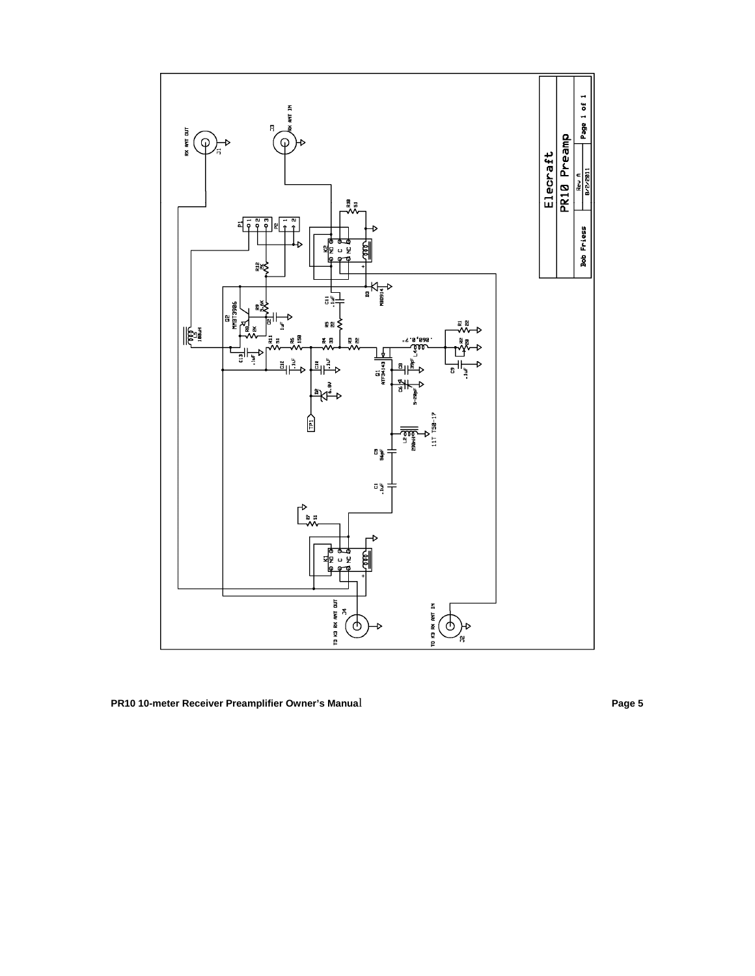

**PR10 10-meter Receiver Preamplifier Owner's Manua**l **Page 5**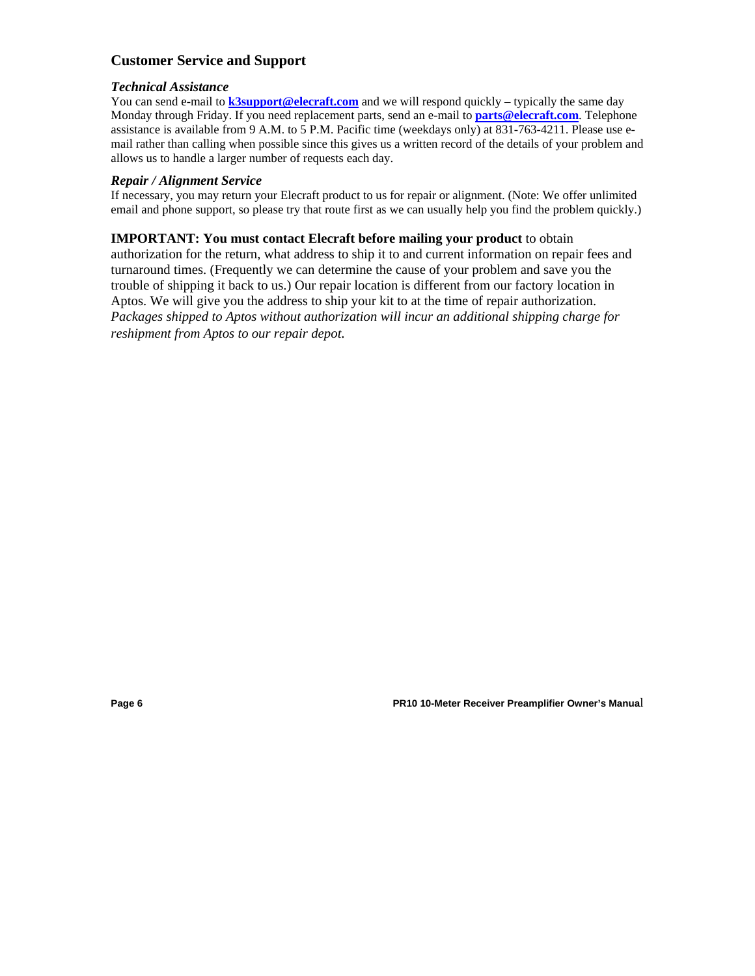### **Customer Service and Support**

#### *Technical Assistance*

You can send e-mail to **k3support@elecraft.com** and we will respond quickly – typically the same day Monday through Friday. If you need replacement parts, send an e-mail to **parts@elecraft.com**. Telephone assistance is available from 9 A.M. to 5 P.M. Pacific time (weekdays only) at 831-763-4211. Please use email rather than calling when possible since this gives us a written record of the details of your problem and allows us to handle a larger number of requests each day.

#### *Repair / Alignment Service*

If necessary, you may return your Elecraft product to us for repair or alignment. (Note: We offer unlimited email and phone support, so please try that route first as we can usually help you find the problem quickly.)

#### **IMPORTANT: You must contact Elecraft before mailing your product** to obtain

authorization for the return, what address to ship it to and current information on repair fees and turnaround times. (Frequently we can determine the cause of your problem and save you the trouble of shipping it back to us.) Our repair location is different from our factory location in Aptos. We will give you the address to ship your kit to at the time of repair authorization. *Packages shipped to Aptos without authorization will incur an additional shipping charge for reshipment from Aptos to our repair depot.* 

**Page 6 PR10 10-Meter Receiver Preamplifier Owner's Manua**l